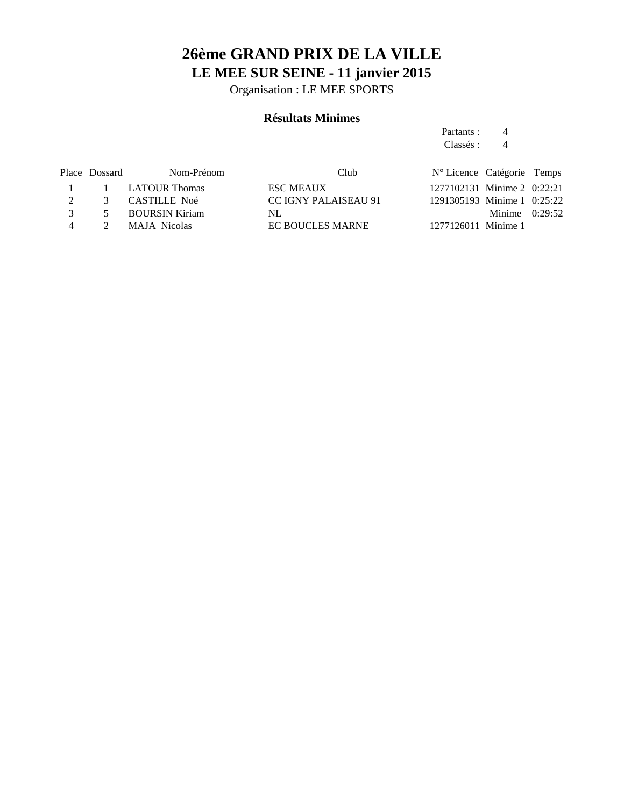# **26ème GRAND PRIX DE LA VILLE LE MEE SUR SEINE - 11 janvier 2015**

Organisation : LE MEE SPORTS

## **Résultats Minimes**

Partants : 4 Classés : 4

|                | Place Dossard | Nom-Prénom            | Club                 | N° Licence Catégorie Temps  |                  |  |
|----------------|---------------|-----------------------|----------------------|-----------------------------|------------------|--|
|                |               | 1 1 LATOUR Thomas     | <b>ESC MEAUX</b>     | 1277102131 Minime 2 0:22:21 |                  |  |
|                | $\mathcal{R}$ | CASTILLE Noé          | CC IGNY PALAISEAU 91 | 1291305193 Minime 1 0:25:22 |                  |  |
| $\mathcal{R}$  | $\sim$        | <b>BOURSIN Kiriam</b> | NL                   |                             | Minime $0:29:52$ |  |
| $\overline{4}$ |               | MAJA Nicolas          | EC BOUCLES MARNE     | 1277126011 Minime 1         |                  |  |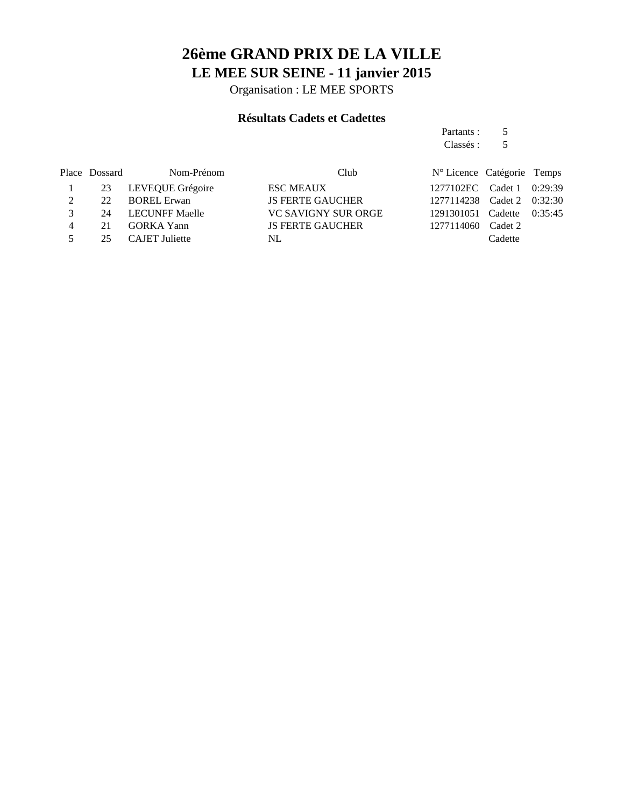# **26ème GRAND PRIX DE LA VILLE LE MEE SUR SEINE - 11 janvier 2015**

Organisation : LE MEE SPORTS

## **Résultats Cadets et Cadettes**

|               |               |                       |                            | Partants :                 |         |         |
|---------------|---------------|-----------------------|----------------------------|----------------------------|---------|---------|
|               |               |                       |                            | Classés :                  | 5       |         |
|               | Place Dossard | Nom-Prénom            | Club                       | N° Licence Catégorie Temps |         |         |
|               | 23            | LEVEQUE Grégoire      | <b>ESC MEAUX</b>           | 1277102EC Cadet 1          |         | 0:29:39 |
| 2             | 22            | <b>BOREL Erwan</b>    | <b>JS FERTE GAUCHER</b>    | 1277114238                 | Cadet 2 | 0:32:30 |
| $\mathcal{E}$ | 24            | <b>LECUNFF Maelle</b> | <b>VC SAVIGNY SUR ORGE</b> | 1291301051                 | Cadette | 0:35:45 |
| 4             | 21            | <b>GORKA</b> Yann     | <b>JS FERTE GAUCHER</b>    | 1277114060                 | Cadet 2 |         |
|               | 25            | <b>CAJET</b> Juliette | NL                         |                            | Cadette |         |